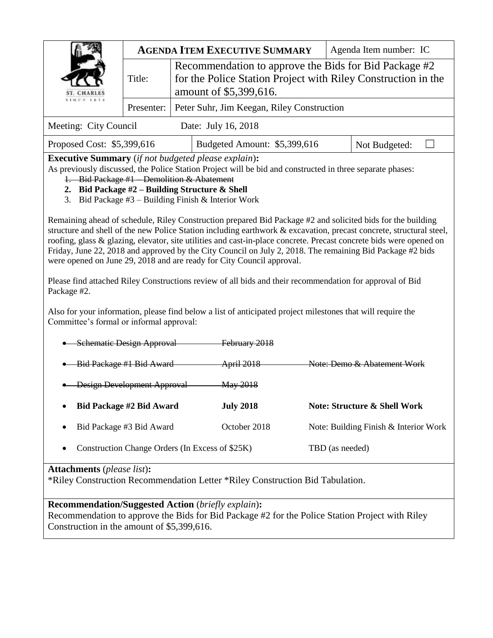|                                           |        | <b>AGENDA ITEM EXECUTIVE SUMMARY</b>                                                                                                             | Agenda Item number: IC |  |  |  |  |  |
|-------------------------------------------|--------|--------------------------------------------------------------------------------------------------------------------------------------------------|------------------------|--|--|--|--|--|
| ST. CHARLES<br>S. 1. N. C. H. 1. 6. 3. 4. | Title: | Recommendation to approve the Bids for Bid Package #2<br>for the Police Station Project with Riley Construction in the<br>amount of \$5,399,616. |                        |  |  |  |  |  |
|                                           |        | Presenter: Peter Suhr, Jim Keegan, Riley Construction                                                                                            |                        |  |  |  |  |  |
| Meeting: City Council                     |        | Date: July 16, 2018                                                                                                                              |                        |  |  |  |  |  |

| Budgeted Amount: \$5,399,616<br>Proposed Cost: \$5,399,616<br>Not Budgeted: |  |
|-----------------------------------------------------------------------------|--|

**Executive Summary** (*if not budgeted please explain*)**:**

As previously discussed, the Police Station Project will be bid and constructed in three separate phases: 1. Bid Package #1 – Demolition & Abatement

- **2. Bid Package #2 – Building Structure & Shell**
- 3. Bid Package #3 Building Finish & Interior Work

Remaining ahead of schedule, Riley Construction prepared Bid Package #2 and solicited bids for the building structure and shell of the new Police Station including earthwork & excavation, precast concrete, structural steel, roofing, glass & glazing, elevator, site utilities and cast-in-place concrete. Precast concrete bids were opened on Friday, June 22, 2018 and approved by the City Council on July 2, 2018. The remaining Bid Package #2 bids were opened on June 29, 2018 and are ready for City Council approval.

Please find attached Riley Constructions review of all bids and their recommendation for approval of Bid Package #2.

Also for your information, please find below a list of anticipated project milestones that will require the Committee's formal or informal approval:

| Schematic Design Approval             | February 2018         |                                         |
|---------------------------------------|-----------------------|-----------------------------------------|
| Bid Package #1 Bid Award              | <del>April 2018</del> | Note: Demo & Abatement Work             |
| Design Development Approval           | <del>May 2018</del>   |                                         |
|                                       |                       |                                         |
| Bid Package #2 Bid Award<br>$\bullet$ | <b>July 2018</b>      | <b>Note: Structure &amp; Shell Work</b> |
| Bid Package #3 Bid Award<br>٠         | October 2018          | Note: Building Finish & Interior Work   |

# **Attachments** (*please list*)**:**

\*Riley Construction Recommendation Letter \*Riley Construction Bid Tabulation.

**Recommendation/Suggested Action** (*briefly explain*)**:**

Recommendation to approve the Bids for Bid Package #2 for the Police Station Project with Riley Construction in the amount of \$5,399,616.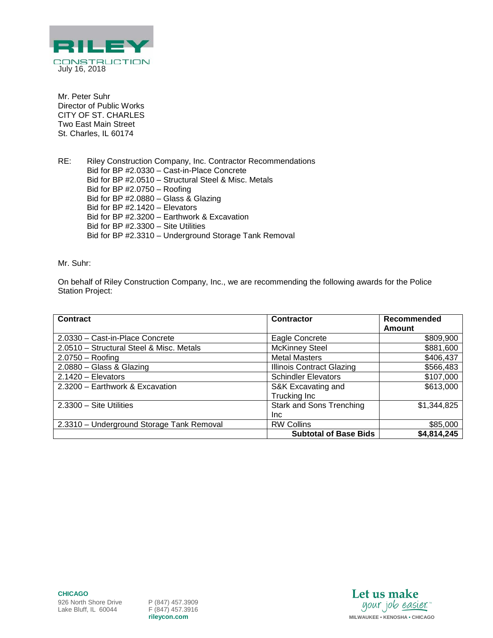

Mr. Peter Suhr Director of Public Works CITY OF ST. CHARLES Two East Main Street St. Charles, IL 60174

RE: Riley Construction Company, Inc. Contractor Recommendations Bid for BP #2.0330 – Cast-in-Place Concrete Bid for BP #2.0510 – Structural Steel & Misc. Metals Bid for BP #2.0750 – Roofing Bid for BP #2.0880 – Glass & Glazing Bid for BP #2.1420 – Elevators Bid for BP #2.3200 – Earthwork & Excavation Bid for BP #2.3300 – Site Utilities Bid for BP #2.3310 – Underground Storage Tank Removal

Mr. Suhr:

On behalf of Riley Construction Company, Inc., we are recommending the following awards for the Police Station Project:

| <b>Contract</b>                           | Contractor                       | Recommended |
|-------------------------------------------|----------------------------------|-------------|
|                                           |                                  | Amount      |
| 2.0330 - Cast-in-Place Concrete           | Eagle Concrete                   | \$809,900   |
| 2.0510 - Structural Steel & Misc. Metals  | <b>McKinney Steel</b>            | \$881,600   |
| $2.0750 -$ Roofing                        | <b>Metal Masters</b>             | \$406,437   |
| 2.0880 - Glass & Glazing                  | <b>Illinois Contract Glazing</b> | \$566,483   |
| $2.1420 - Elevators$                      | <b>Schindler Elevators</b>       | \$107,000   |
| 2.3200 - Earthwork & Excavation           | S&K Excavating and               | \$613,000   |
|                                           | Trucking Inc                     |             |
| 2.3300 - Site Utilities                   | <b>Stark and Sons Trenching</b>  | \$1,344,825 |
|                                           | <b>Inc</b>                       |             |
| 2.3310 - Underground Storage Tank Removal | <b>RW Collins</b>                | \$85,000    |
|                                           | <b>Subtotal of Base Bids</b>     | \$4,814,245 |

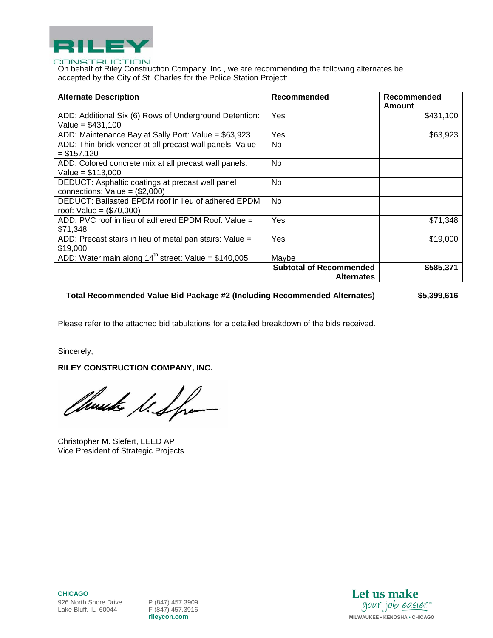

On behalf of Riley Construction Company, Inc., we are recommending the following alternates be accepted by the City of St. Charles for the Police Station Project:

| <b>Alternate Description</b>                                                        | <b>Recommended</b>                                  | Recommended<br>Amount |
|-------------------------------------------------------------------------------------|-----------------------------------------------------|-----------------------|
| ADD: Additional Six (6) Rows of Underground Detention:<br>Value = $$431,100$        | Yes                                                 | \$431,100             |
| ADD: Maintenance Bay at Sally Port: Value = \$63,923                                | Yes                                                 | \$63,923              |
| ADD: Thin brick veneer at all precast wall panels: Value<br>$=$ \$157.120           | N <sub>0</sub>                                      |                       |
| ADD: Colored concrete mix at all precast wall panels:<br>Value = $$113,000$         | No.                                                 |                       |
| DEDUCT: Asphaltic coatings at precast wall panel<br>connections: $Value = ($2,000)$ | No                                                  |                       |
| DEDUCT: Ballasted EPDM roof in lieu of adhered EPDM<br>roof: Value = $(\$70,000)$   | <b>No</b>                                           |                       |
| ADD: PVC roof in lieu of adhered EPDM Roof: Value =<br>\$71.348                     | Yes                                                 | \$71,348              |
| ADD: Precast stairs in lieu of metal pan stairs: Value =<br>\$19,000                | Yes                                                 | \$19,000              |
| ADD: Water main along $14^{\text{th}}$ street: Value = \$140,005                    | Maybe                                               |                       |
|                                                                                     | <b>Subtotal of Recommended</b><br><b>Alternates</b> | \$585,371             |

### **Total Recommended Value Bid Package #2 (Including Recommended Alternates) \$5,399,616**

Please refer to the attached bid tabulations for a detailed breakdown of the bids received.

Sincerely,

**RILEY CONSTRUCTION COMPANY, INC.**

Thurste S. Spa

Christopher M. Siefert, LEED AP Vice President of Strategic Projects

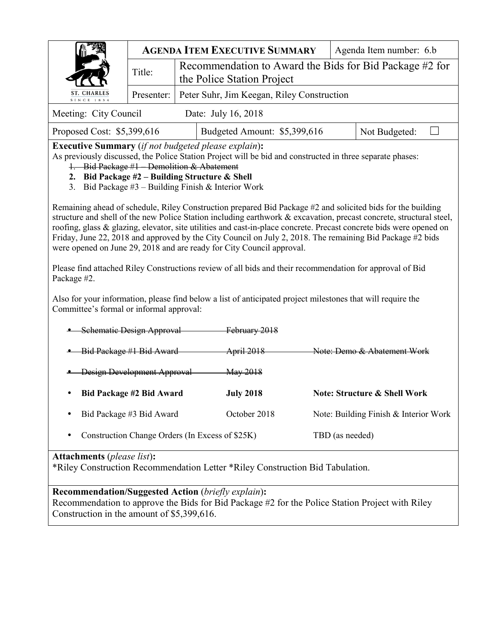|                                                                                                                                                                                                                                                                                                                                                                                                                                                                                                                                                 |                                                                    |                                                                                        | <b>AGENDA ITEM EXECUTIVE SUMMARY</b>                                                                        |  | Agenda Item number: 6.b                 |  |  |  |  |  |  |
|-------------------------------------------------------------------------------------------------------------------------------------------------------------------------------------------------------------------------------------------------------------------------------------------------------------------------------------------------------------------------------------------------------------------------------------------------------------------------------------------------------------------------------------------------|--------------------------------------------------------------------|----------------------------------------------------------------------------------------|-------------------------------------------------------------------------------------------------------------|--|-----------------------------------------|--|--|--|--|--|--|
|                                                                                                                                                                                                                                                                                                                                                                                                                                                                                                                                                 | Title:                                                             |                                                                                        | Recommendation to Award the Bids for Bid Package #2 for                                                     |  |                                         |  |  |  |  |  |  |
| <b>ST. CHARLES</b>                                                                                                                                                                                                                                                                                                                                                                                                                                                                                                                              |                                                                    | the Police Station Project<br>Presenter:<br>Peter Suhr, Jim Keegan, Riley Construction |                                                                                                             |  |                                         |  |  |  |  |  |  |
| SINCE 1834                                                                                                                                                                                                                                                                                                                                                                                                                                                                                                                                      |                                                                    |                                                                                        |                                                                                                             |  |                                         |  |  |  |  |  |  |
| Meeting: City Council                                                                                                                                                                                                                                                                                                                                                                                                                                                                                                                           |                                                                    |                                                                                        | Date: July 16, 2018                                                                                         |  |                                         |  |  |  |  |  |  |
| Proposed Cost: \$5,399,616<br>Budgeted Amount: \$5,399,616<br>Not Budgeted:<br><b>Executive Summary</b> (if not budgeted please explain):                                                                                                                                                                                                                                                                                                                                                                                                       |                                                                    |                                                                                        |                                                                                                             |  |                                         |  |  |  |  |  |  |
| As previously discussed, the Police Station Project will be bid and constructed in three separate phases:<br>1. Bid Package #1 Demolition & Abatement<br>2. Bid Package $#2$ – Building Structure & Shell<br>3. Bid Package $#3$ – Building Finish & Interior Work                                                                                                                                                                                                                                                                              |                                                                    |                                                                                        |                                                                                                             |  |                                         |  |  |  |  |  |  |
| Remaining ahead of schedule, Riley Construction prepared Bid Package #2 and solicited bids for the building<br>structure and shell of the new Police Station including earthwork & excavation, precast concrete, structural steel,<br>roofing, glass & glazing, elevator, site utilities and cast-in-place concrete. Precast concrete bids were opened on<br>Friday, June 22, 2018 and approved by the City Council on July 2, 2018. The remaining Bid Package #2 bids<br>were opened on June 29, 2018 and are ready for City Council approval. |                                                                    |                                                                                        |                                                                                                             |  |                                         |  |  |  |  |  |  |
| Package #2.                                                                                                                                                                                                                                                                                                                                                                                                                                                                                                                                     |                                                                    |                                                                                        | Please find attached Riley Constructions review of all bids and their recommendation for approval of Bid    |  |                                         |  |  |  |  |  |  |
| Committee's formal or informal approval:                                                                                                                                                                                                                                                                                                                                                                                                                                                                                                        |                                                                    |                                                                                        | Also for your information, please find below a list of anticipated project milestones that will require the |  |                                         |  |  |  |  |  |  |
| Schematic Design Approval                                                                                                                                                                                                                                                                                                                                                                                                                                                                                                                       |                                                                    |                                                                                        | February 2018                                                                                               |  |                                         |  |  |  |  |  |  |
| Bid Package #1 Bid Award                                                                                                                                                                                                                                                                                                                                                                                                                                                                                                                        |                                                                    |                                                                                        | April 2018                                                                                                  |  | Note: Demo & Abatement Work             |  |  |  |  |  |  |
|                                                                                                                                                                                                                                                                                                                                                                                                                                                                                                                                                 | Design Development Approval                                        |                                                                                        | May 2018                                                                                                    |  |                                         |  |  |  |  |  |  |
|                                                                                                                                                                                                                                                                                                                                                                                                                                                                                                                                                 | Bid Package #2 Bid Award                                           |                                                                                        | <b>July 2018</b>                                                                                            |  | <b>Note: Structure &amp; Shell Work</b> |  |  |  |  |  |  |
|                                                                                                                                                                                                                                                                                                                                                                                                                                                                                                                                                 | Bid Package #3 Bid Award                                           |                                                                                        | October 2018                                                                                                |  | Note: Building Finish & Interior Work   |  |  |  |  |  |  |
|                                                                                                                                                                                                                                                                                                                                                                                                                                                                                                                                                 | Construction Change Orders (In Excess of \$25K)<br>TBD (as needed) |                                                                                        |                                                                                                             |  |                                         |  |  |  |  |  |  |
| <b>Attachments</b> (please list):<br>*Riley Construction Recommendation Letter *Riley Construction Bid Tabulation.                                                                                                                                                                                                                                                                                                                                                                                                                              |                                                                    |                                                                                        |                                                                                                             |  |                                         |  |  |  |  |  |  |
| <b>Recommendation/Suggested Action (briefly explain):</b><br>Recommendation to approve the Bids for Bid Package #2 for the Police Station Project with Riley<br>Construction in the amount of \$5,399,616.                                                                                                                                                                                                                                                                                                                                      |                                                                    |                                                                                        |                                                                                                             |  |                                         |  |  |  |  |  |  |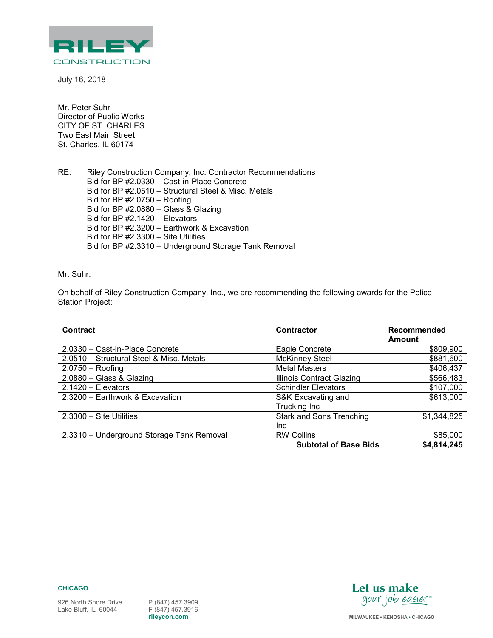

July 16, 2018

Mr. Peter Suhr Director of Public Works CITY OF ST. CHARLES Two East Main Street St. Charles, IL 60174

RE: Riley Construction Company, Inc. Contractor Recommendations Bid for BP #2.0330 – Cast-in-Place Concrete Bid for BP #2.0510 – Structural Steel & Misc. Metals Bid for BP #2.0750 – Roofing Bid for BP #2.0880 – Glass & Glazing Bid for BP #2.1420 – Elevators Bid for BP #2.3200 – Earthwork & Excavation Bid for BP #2.3300 – Site Utilities Bid for BP #2.3310 – Underground Storage Tank Removal

Mr. Suhr:

On behalf of Riley Construction Company, Inc., we are recommending the following awards for the Police Station Project:

| <b>Contract</b>                           | <b>Contractor</b>                | Recommended |
|-------------------------------------------|----------------------------------|-------------|
|                                           |                                  | Amount      |
| 2.0330 - Cast-in-Place Concrete           | Eagle Concrete                   | \$809,900   |
| 2.0510 - Structural Steel & Misc. Metals  | <b>McKinney Steel</b>            | \$881,600   |
| $2.0750 -$ Roofing                        | <b>Metal Masters</b>             | \$406,437   |
| 2.0880 - Glass & Glazing                  | <b>Illinois Contract Glazing</b> | \$566,483   |
| $2.1420 - Elevators$                      | <b>Schindler Elevators</b>       | \$107,000   |
| 2.3200 - Earthwork & Excavation           | S&K Excavating and               | \$613,000   |
|                                           | Trucking Inc                     |             |
| $2.3300 -$ Site Utilities                 | <b>Stark and Sons Trenching</b>  | \$1,344,825 |
|                                           | Inc.                             |             |
| 2.3310 - Underground Storage Tank Removal | <b>RW Collins</b>                | \$85,000    |
|                                           | <b>Subtotal of Base Bids</b>     | \$4,814,245 |

**CHICAGO** 

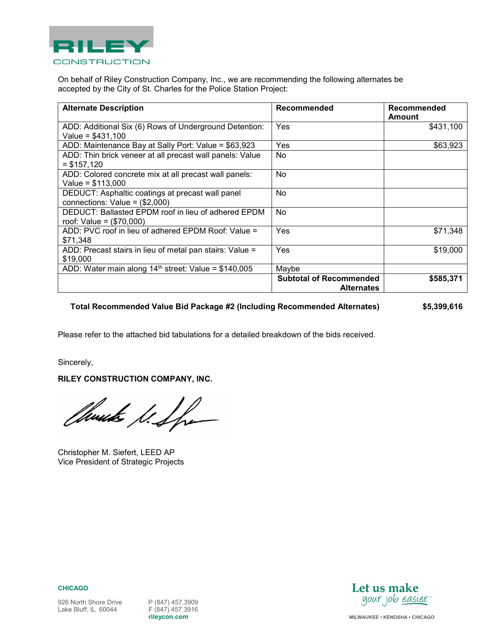

On behalf of Riley Construction Company, Inc., we are recommending the following alternates be accepted by the City of St. Charles for the Police Station Project:

| <b>Alternate Description</b>                                                         | Recommended                                         | Recommended<br>Amount |
|--------------------------------------------------------------------------------------|-----------------------------------------------------|-----------------------|
| ADD: Additional Six (6) Rows of Underground Detention:<br>Value = $$431,100$         | Yes                                                 | \$431,100             |
| ADD: Maintenance Bay at Sally Port: Value = \$63,923                                 | Yes                                                 | \$63,923              |
| ADD: Thin brick veneer at all precast wall panels: Value<br>$=$ \$157,120            | No                                                  |                       |
| ADD: Colored concrete mix at all precast wall panels:<br>Value = $$113,000$          | No                                                  |                       |
| DEDUCT: Asphaltic coatings at precast wall panel<br>connections: Value = $(\$2,000)$ | No                                                  |                       |
| DEDUCT: Ballasted EPDM roof in lieu of adhered EPDM<br>roof: Value = $(\$70,000)$    | No                                                  |                       |
| ADD: PVC roof in lieu of adhered EPDM Roof: Value =<br>\$71,348                      | Yes                                                 | \$71,348              |
| ADD: Precast stairs in lieu of metal pan stairs: Value =<br>\$19,000                 | Yes                                                 | \$19,000              |
| ADD: Water main along $14th$ street: Value = \$140,005                               | Maybe                                               |                       |
|                                                                                      | <b>Subtotal of Recommended</b><br><b>Alternates</b> | \$585,371             |

### **Total Recommended Value Bid Package #2 (Including Recommended Alternates) \$5,399,616**

Please refer to the attached bid tabulations for a detailed breakdown of the bids received.

Sincerely,

**RILEY CONSTRUCTION COMPANY, INC.** 

Church le Spa

Christopher M. Siefert, LEED AP Vice President of Strategic Projects



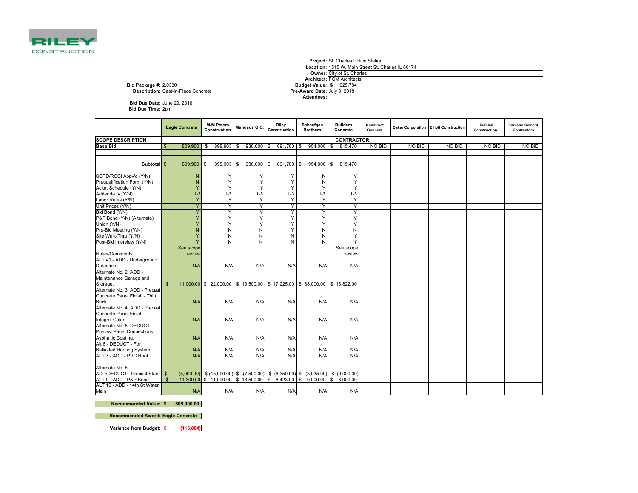

|                                            |                                 | <b>Project: St. Charles Police Station</b>         |
|--------------------------------------------|---------------------------------|----------------------------------------------------|
|                                            |                                 | Location: 1515 W. Main Street St. Charles IL 60174 |
|                                            |                                 | <b>Owner:</b> City of St. Charles                  |
|                                            |                                 | <b>Architect: FGM Architects</b>                   |
| <b>Bid Package #: 2.0330</b>               | <b>Budget Value: \$ 925,784</b> |                                                    |
| <b>Description: Cast-In-Place Concrete</b> | Pre-Award Date: July 9, 2018    |                                                    |
|                                            | Attendees:                      |                                                    |
| Bid Due Date: June 29, 2018                |                                 |                                                    |

**Bid Due Date:**June 29, 2018**Bid Due Time:** 2pm

|                                                        | <b>Eagle Concrete</b>   | <b>M/M Peters</b><br>Construction                                                             | Manusos G.C.           | Riley<br>Construction | Schaefgas<br><b>Brothers</b> | <b>Builders</b><br>Concrete | Construct<br>Connect |        | <b>Daker Corporation Elliott Construction</b> | Lindblad<br>Construction | <b>Lorusso Cement</b><br><b>Contractors</b> |
|--------------------------------------------------------|-------------------------|-----------------------------------------------------------------------------------------------|------------------------|-----------------------|------------------------------|-----------------------------|----------------------|--------|-----------------------------------------------|--------------------------|---------------------------------------------|
| <b>SCOPE DESCRIPTION</b>                               |                         |                                                                                               |                        |                       |                              | <b>CONTRACTOR</b>           |                      |        |                                               |                          |                                             |
| <b>Base Bid</b>                                        | 809,900                 | 898,903<br>- \$                                                                               | 938,000<br>- \$        | 891,780<br>\$         | $954,000$ \$<br>- 35         | 815,470                     | NO BID               | NO BID | NO BID                                        | NO BID                   | NO BID                                      |
|                                                        |                         |                                                                                               |                        |                       |                              |                             |                      |        |                                               |                          |                                             |
|                                                        |                         |                                                                                               |                        |                       |                              |                             |                      |        |                                               |                          |                                             |
| Subtotal \$                                            | 809,900 \$              | 898.903                                                                                       | 938,000 \$<br><b>S</b> | 891,780               | $954,000$ \$<br>$\mathbf{s}$ | 815,470                     |                      |        |                                               |                          |                                             |
|                                                        |                         |                                                                                               |                        |                       |                              |                             |                      |        |                                               |                          |                                             |
| SCPD/RCCI Appv'd (Y/N)                                 |                         | N<br>Y                                                                                        | Y                      | Υ                     | N                            | Y                           |                      |        |                                               |                          |                                             |
| Prequalification Form (Y/N)                            | $\overline{N}$          | Y                                                                                             | Y                      | Υ                     | N                            | Y                           |                      |        |                                               |                          |                                             |
| Ackn. Schedule (Y/N)                                   | Y                       | Y                                                                                             | Y                      | Υ                     | Y                            | Y                           |                      |        |                                               |                          |                                             |
| Addenda (#, Y/N)                                       | $1 - 3$                 | $1-3$                                                                                         | $1 - 3$                | $1 - 3$               | $1-3$                        | $1-3$                       |                      |        |                                               |                          |                                             |
| Labor Rates (Y/N)                                      | Y                       | Y                                                                                             | Y                      | Y                     | Y                            | Y                           |                      |        |                                               |                          |                                             |
| Unit Prices (Y/N)                                      | Y                       | Y                                                                                             | Y                      | Y                     | Y                            | Y                           |                      |        |                                               |                          |                                             |
| Bid Bond (Y/N)                                         | Y                       | Y                                                                                             | Y                      | Υ                     | Υ                            | Y                           |                      |        |                                               |                          |                                             |
| P&P Bond (Y/N) (Alternate)                             |                         | Y                                                                                             | Y                      | Υ                     | Y                            | Υ                           |                      |        |                                               |                          |                                             |
| Union (Y/N)                                            |                         | Y                                                                                             | Y                      | Y                     | Y                            | Y                           |                      |        |                                               |                          |                                             |
| Pre-Bid Meeting (Y/N)                                  | $\mathsf{N}$            | N                                                                                             | N                      | Y                     | N                            | N                           |                      |        |                                               |                          |                                             |
| Site Walk-Thru (Y/N)                                   |                         | Y<br>N                                                                                        | N                      | N                     | N                            | Y                           |                      |        |                                               |                          |                                             |
| Post-Bid Interview (Y/N)                               | $\overline{\mathsf{Y}}$ | N                                                                                             | N                      | N                     | $\mathsf{N}$                 | Y                           |                      |        |                                               |                          |                                             |
| Notes/Comments                                         | See scope<br>review     |                                                                                               |                        |                       |                              | See scope<br>review         |                      |        |                                               |                          |                                             |
| ALT #1 - ADD - Underground                             |                         |                                                                                               |                        |                       |                              |                             |                      |        |                                               |                          |                                             |
| Detention                                              | N/A                     | N/A                                                                                           | N/A                    | N/A                   | N/A                          | N/A                         |                      |        |                                               |                          |                                             |
| Alternate No. 2: ADD -                                 |                         |                                                                                               |                        |                       |                              |                             |                      |        |                                               |                          |                                             |
| Maintenance Garage and                                 |                         |                                                                                               |                        |                       |                              |                             |                      |        |                                               |                          |                                             |
| Storage.                                               | $\mathbf{s}$            | 11,000.00 \$ 22,000.00 \$ 13,500.00 \$ 17,225.00 \$ 38,000.00 \$ 13,822.00                    |                        |                       |                              |                             |                      |        |                                               |                          |                                             |
| Alternate No. 3: ADD - Precast                         |                         |                                                                                               |                        |                       |                              |                             |                      |        |                                               |                          |                                             |
| Concrete Panel Finish - Thin                           |                         |                                                                                               |                        |                       |                              |                             |                      |        |                                               |                          |                                             |
| Brick.                                                 | N/A                     | N/A                                                                                           | N/A                    | N/A                   | N/A                          | N/A                         |                      |        |                                               |                          |                                             |
| Alternate No. 4: ADD - Precast                         |                         |                                                                                               |                        |                       |                              |                             |                      |        |                                               |                          |                                             |
| Concrete Panel Finish -                                |                         |                                                                                               |                        |                       |                              |                             |                      |        |                                               |                          |                                             |
| Integral Color.                                        | N/A                     | N/A                                                                                           | N/A                    | N/A                   | N/A                          | N/A                         |                      |        |                                               |                          |                                             |
| Alternate No. 5: DEDUCT -                              |                         |                                                                                               |                        |                       |                              |                             |                      |        |                                               |                          |                                             |
| <b>Precast Panel Connections</b>                       |                         |                                                                                               |                        |                       |                              |                             |                      |        |                                               |                          |                                             |
| Asphaltic Coating.                                     | N/A                     | N/A                                                                                           | N/A                    | N/A                   | N/A                          | N/A                         |                      |        |                                               |                          |                                             |
| Alt 6 - DEDUCT - For                                   |                         |                                                                                               |                        |                       |                              |                             |                      |        |                                               |                          |                                             |
| <b>Ballasted Roofing System</b>                        | N/A                     | N/A                                                                                           | N/A                    | N/A                   | N/A                          | N/A                         |                      |        |                                               |                          |                                             |
| ALT 7 - ADD - PVC Roof                                 | N/A                     | N/A                                                                                           | N/A                    | N/A                   | N/A                          | N/A                         |                      |        |                                               |                          |                                             |
|                                                        |                         |                                                                                               |                        |                       |                              |                             |                      |        |                                               |                          |                                             |
| Alternate No. 8:                                       |                         |                                                                                               |                        |                       |                              |                             |                      |        |                                               |                          |                                             |
| ADD/DEDUCT - Precast Stair. \$                         |                         | $(5,000.00)$ \$ $(15,000.00)$ \$ $(7,500.00)$ \$ $(6,350.00)$ \$ $(3,035.00)$ \$ $(9,000.00)$ |                        |                       |                              |                             |                      |        |                                               |                          |                                             |
| ALT 9 - ADD - P&P Bond<br>ALT 10 - ADD - 14th St Water | $\mathbf{s}$            | 11,300.00 \$ 11,090.00 \$ 13,500.00 \$ 8,423.00 \$ 9,000.00 \$ 8,000.00                       |                        |                       |                              |                             |                      |        |                                               |                          |                                             |
| Main                                                   | N/A                     | N/A                                                                                           | N/A                    | N/A                   | N/A                          | N/A                         |                      |        |                                               |                          |                                             |

**Recommended Value: 809,900.00 \$** 

**Recommended Award: Eagle Concrete** 

**Variance from Budget: \$ (115,884)**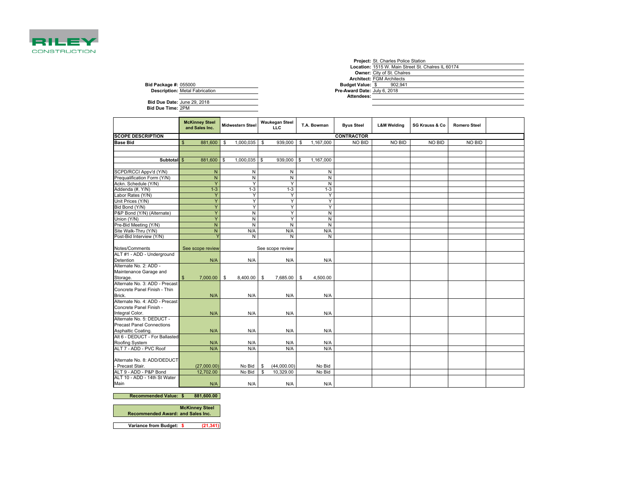

r.

|                              |                                       |  |                              | <b>Project:</b> St. Charles Police Station |                                                    |  |
|------------------------------|---------------------------------------|--|------------------------------|--------------------------------------------|----------------------------------------------------|--|
|                              |                                       |  |                              |                                            | Location: 1515 W. Main Street St. Chalres IL 60174 |  |
|                              |                                       |  |                              | <b>Owner:</b> City of St. Chalres          |                                                    |  |
|                              |                                       |  |                              | <b>Architect: FGM Architects</b>           |                                                    |  |
| <b>Bid Package #: 055000</b> |                                       |  | <b>Budget Value: \$</b>      | 902.941                                    |                                                    |  |
|                              | <b>Description: Metal Fabrication</b> |  | Pre-Award Date: July 6, 2018 |                                            |                                                    |  |
|                              |                                       |  | Attendees:                   |                                            |                                                    |  |
| Bid Due Date: June 29, 2018  |                                       |  |                              |                                            |                                                    |  |
| <b>Bid Due Time: 2PM</b>     |                                       |  |                              |                                            |                                                    |  |
|                              |                                       |  |                              |                                            |                                                    |  |
|                              |                                       |  |                              |                                            |                                                    |  |

|                                              | <b>McKinney Steel</b><br>and Sales Inc. |          | <b>Midwestern Steel</b> | <b>Waukegan Steel</b><br><b>LLC</b> |           | T.A. Bowman | <b>Byus Steel</b> | <b>L&amp;M Welding</b> | SG Krauss & Co | <b>Romero Steel</b> |  |
|----------------------------------------------|-----------------------------------------|----------|-------------------------|-------------------------------------|-----------|-------------|-------------------|------------------------|----------------|---------------------|--|
| <b>SCOPE DESCRIPTION</b>                     |                                         |          |                         |                                     |           |             | <b>CONTRACTOR</b> |                        |                |                     |  |
| <b>Base Bid</b>                              | \$<br>881,600                           | S        | 1,000,035               | \$<br>939,000                       | \$        | 1,167,000   | NO BID            | NO BID                 | NO BID         | NO BID              |  |
|                                              |                                         |          |                         |                                     |           |             |                   |                        |                |                     |  |
|                                              |                                         |          |                         |                                     |           |             |                   |                        |                |                     |  |
| Subtotal <sub>S</sub>                        | 881,600                                 | <b>S</b> | 1,000,035               | \$<br>939,000                       | <b>\$</b> | 1,167,000   |                   |                        |                |                     |  |
|                                              |                                         |          |                         |                                     |           |             |                   |                        |                |                     |  |
| SCPD/RCCI Appv'd (Y/N)                       | ${\sf N}$                               |          | N                       | N                                   |           | N           |                   |                        |                |                     |  |
| Prequalification Form (Y/N)                  | ${\sf N}$                               |          | N                       | N                                   |           | N           |                   |                        |                |                     |  |
| Ackn. Schedule (Y/N)                         | Ÿ                                       |          | Y                       | Y                                   |           | N           |                   |                        |                |                     |  |
| Addenda (#, Y/N)                             | $1 - 3$                                 |          | $1 - 3$                 | $1 - 3$                             |           | $1 - 3$     |                   |                        |                |                     |  |
| Labor Rates (Y/N)                            | Y                                       |          | Y                       | Y                                   |           | Y           |                   |                        |                |                     |  |
| Unit Prices (Y/N)                            | Y                                       |          | Y                       | Y                                   |           | Y           |                   |                        |                |                     |  |
| Bid Bond (Y/N)                               | Ÿ                                       |          | Y                       | Y                                   |           | Y           |                   |                        |                |                     |  |
| P&P Bond (Y/N) (Alternate)                   | Y                                       |          | $\overline{N}$          | Y                                   |           | N           |                   |                        |                |                     |  |
| Union (Y/N)                                  | Ÿ                                       |          | N                       | Y                                   |           | N           |                   |                        |                |                     |  |
| Pre-Bid Meeting (Y/N)                        | ${\sf N}$                               |          | $\mathsf{N}$            | N                                   |           | N           |                   |                        |                |                     |  |
| Site Walk-Thru (Y/N)                         | ${\sf N}$                               |          | N/A                     | N/A                                 |           | N/A         |                   |                        |                |                     |  |
| Post-Bid Interview (Y/N)                     |                                         |          | N                       | N                                   |           | N           |                   |                        |                |                     |  |
|                                              |                                         |          |                         |                                     |           |             |                   |                        |                |                     |  |
| Notes/Comments                               | See scope review                        |          |                         | See scope review                    |           |             |                   |                        |                |                     |  |
| ALT #1 - ADD - Underground                   |                                         |          |                         |                                     |           |             |                   |                        |                |                     |  |
| Detention                                    | N/A                                     |          | N/A                     | N/A                                 |           | N/A         |                   |                        |                |                     |  |
| Alternate No. 2: ADD -                       |                                         |          |                         |                                     |           |             |                   |                        |                |                     |  |
| Maintenance Garage and                       |                                         |          |                         |                                     |           |             |                   |                        |                |                     |  |
| Storage.                                     | \$<br>7,000.00                          | \$       | 8,400.00                | \$<br>7,685.00                      | \$        | 4,500.00    |                   |                        |                |                     |  |
| Alternate No. 3: ADD - Precast               |                                         |          |                         |                                     |           |             |                   |                        |                |                     |  |
| Concrete Panel Finish - Thin                 |                                         |          |                         |                                     |           |             |                   |                        |                |                     |  |
| Brick.                                       | N/A                                     |          | N/A                     | N/A                                 |           | N/A         |                   |                        |                |                     |  |
| Alternate No. 4: ADD - Precast               |                                         |          |                         |                                     |           |             |                   |                        |                |                     |  |
| Concrete Panel Finish -                      |                                         |          |                         |                                     |           |             |                   |                        |                |                     |  |
| Integral Color.<br>Alternate No. 5: DEDUCT - | N/A                                     |          | N/A                     | N/A                                 |           | N/A         |                   |                        |                |                     |  |
| <b>Precast Panel Connections</b>             |                                         |          |                         |                                     |           |             |                   |                        |                |                     |  |
| Asphaltic Coating.                           | N/A                                     |          | N/A                     | N/A                                 |           | N/A         |                   |                        |                |                     |  |
| Alt 6 - DEDUCT - For Ballasted               |                                         |          |                         |                                     |           |             |                   |                        |                |                     |  |
| Roofing System                               | N/A                                     |          | N/A                     | N/A                                 |           | N/A         |                   |                        |                |                     |  |
| ALT 7 - ADD - PVC Roof                       | N/A                                     |          | N/A                     | N/A                                 |           | N/A         |                   |                        |                |                     |  |
|                                              |                                         |          |                         |                                     |           |             |                   |                        |                |                     |  |
| Alternate No. 8: ADD/DEDUCT                  |                                         |          |                         |                                     |           |             |                   |                        |                |                     |  |
| - Precast Stair.                             | (27,000.00)                             |          | No Bid                  | \$<br>(44,000.00)                   |           | No Bid      |                   |                        |                |                     |  |
| ALT 9 - ADD - P&P Bond                       | 12,702.00                               |          | No Bid                  | \$<br>10,329.00                     |           | No Bid      |                   |                        |                |                     |  |
| ALT 10 - ADD - 14th St Water                 |                                         |          |                         |                                     |           |             |                   |                        |                |                     |  |
| Main                                         | N/A                                     |          | N/A                     | N/A                                 |           | N/A         |                   |                        |                |                     |  |
|                                              |                                         |          |                         |                                     |           |             |                   |                        |                |                     |  |

**Recommended Value: 881,600.00 \$** 

**Recommended Award: McKinney Steel and Sales Inc.**

**Variance from Budget: \$ (21,341)**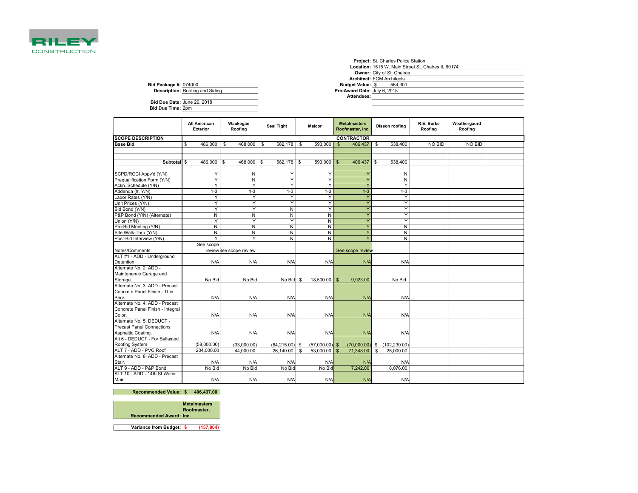

|                              |                                        |  |                              | <b>Project:</b> St. Charles Police Station         |
|------------------------------|----------------------------------------|--|------------------------------|----------------------------------------------------|
|                              |                                        |  |                              | Location: 1515 W. Main Street St. Chalres IL 60174 |
|                              |                                        |  |                              | <b>Owner:</b> City of St. Chalres                  |
|                              |                                        |  |                              | <b>Architect: FGM Architects</b>                   |
| <b>Bid Package #: 074000</b> |                                        |  | Budget Value: \$             | 564.301                                            |
|                              | <b>Description: Roofing and Siding</b> |  | Pre-Award Date: July 6, 2018 |                                                    |
|                              |                                        |  | Attendees:                   |                                                    |
| Bid Due Date: June 29, 2018  |                                        |  |                              |                                                    |
| Bid Due Time: 2pm            |                                        |  |                              |                                                    |
|                              |                                        |  |                              |                                                    |

|                                  | All American<br><b>Exterior</b> | Waukegan<br>Roofing     | <b>Seal Tight</b> | <b>Malcor</b>         | <b>Metalmasters</b><br>Roofmaster, Inc. | Olsson roofing  | R.E. Burke<br>Roofing | Weathergaurd<br>Roofing |  |
|----------------------------------|---------------------------------|-------------------------|-------------------|-----------------------|-----------------------------------------|-----------------|-----------------------|-------------------------|--|
| <b>SCOPE DESCRIPTION</b>         |                                 |                         |                   |                       | <b>CONTRACTOR</b>                       |                 |                       |                         |  |
| <b>Base Bid</b>                  | \$<br>486,000                   | 468,000<br>\$           | 582,178<br>\$     | - \$<br>593,000       | $\mathbb{S}$<br>406,437                 | \$<br>538,400   | NO BID                | <b>NO BID</b>           |  |
|                                  |                                 |                         |                   |                       |                                         |                 |                       |                         |  |
|                                  |                                 |                         |                   |                       |                                         |                 |                       |                         |  |
| Subtotal \$                      | 486,000                         | <b>S</b><br>468,000     | \$<br>582,178 \$  | 593,000               | 406,437<br>$\mathbb{S}$                 | 538,400<br>\$   |                       |                         |  |
|                                  |                                 |                         |                   |                       |                                         |                 |                       |                         |  |
| SCPD/RCCI Appv'd (Y/N)           | Y                               | N                       | Y                 | Y                     | Y                                       | N               |                       |                         |  |
| Prequalification Form (Y/N)      | Y                               | N                       | Y                 | Y                     | Ÿ                                       | N               |                       |                         |  |
| Ackn. Schedule (Y/N)             | Y                               | Y                       | Y                 | Y                     | Y                                       | Y               |                       |                         |  |
| Addenda (#, Y/N)                 | $1-3$                           | $1 - 3$                 | $1-3$             | $1 - 3$               | $1-3$                                   | $1 - 3$         |                       |                         |  |
| Labor Rates (Y/N)                | Y                               | Y                       | Y                 | Y                     | Y                                       | Y               |                       |                         |  |
| Unit Prices (Y/N)                | Y                               | Y                       | Y                 | Y                     | Ÿ                                       | Y               |                       |                         |  |
| Bid Bond (Y/N)                   | Y                               | Y                       | N                 | Ÿ                     | Ÿ                                       | Y               |                       |                         |  |
| P&P Bond (Y/N) (Alternate)       | N                               | N                       | N                 | N                     | Y                                       | Y               |                       |                         |  |
| Union (Y/N)                      | Ÿ                               | Y                       | Y                 | N                     | Ÿ                                       | Y               |                       |                         |  |
| Pre-Bid Meeting (Y/N)            | N                               | N                       | N                 | N                     | $\overline{Y}$                          | N               |                       |                         |  |
| Site Walk-Thru (Y/N)             | N                               | N                       | N                 | N                     | Y                                       | N               |                       |                         |  |
| Post-Bid Interview (Y/N)         | Υ                               | Y                       | N                 | N                     | $\overline{Y}$                          | N               |                       |                         |  |
|                                  | See scope                       |                         |                   |                       |                                         |                 |                       |                         |  |
| Notes/Comments                   |                                 | review See scope review |                   |                       | See scope review                        |                 |                       |                         |  |
| ALT #1 - ADD - Underground       |                                 |                         |                   |                       |                                         |                 |                       |                         |  |
| Detention                        | N/A                             | N/A                     | N/A               | N/A                   | N/A                                     | N/A             |                       |                         |  |
| Alternate No. 2: ADD -           |                                 |                         |                   |                       |                                         |                 |                       |                         |  |
| Maintenance Garage and           |                                 |                         |                   |                       |                                         |                 |                       |                         |  |
| Storage.                         | No Bid                          | No Bid                  | No Bid \$         | 18,500.00 \$          | 9,923.00                                | No Bid          |                       |                         |  |
| Alternate No. 3: ADD - Precast   |                                 |                         |                   |                       |                                         |                 |                       |                         |  |
| Concrete Panel Finish - Thin     |                                 |                         |                   |                       |                                         |                 |                       |                         |  |
| Brick.                           | N/A                             | N/A                     | N/A               | N/A                   | N/A                                     | N/A             |                       |                         |  |
| Alternate No. 4: ADD - Precast   |                                 |                         |                   |                       |                                         |                 |                       |                         |  |
| Concrete Panel Finish - Integral |                                 |                         |                   |                       |                                         |                 |                       |                         |  |
| Color.                           | N/A                             | N/A                     | N/A               | N/A                   | N/A                                     | N/A             |                       |                         |  |
| Alternate No. 5: DEDUCT -        |                                 |                         |                   |                       |                                         |                 |                       |                         |  |
| <b>Precast Panel Connections</b> |                                 |                         |                   |                       |                                         |                 |                       |                         |  |
| Asphaltic Coating.               | N/A                             | N/A                     | N/A               | N/A                   | N/A                                     | N/A             |                       |                         |  |
| Alt 6 - DEDUCT - For Ballasted   |                                 |                         |                   |                       |                                         |                 |                       |                         |  |
| Roofing System                   | (58,000.00)                     | (33,000.00)             | $(84, 215.00)$ \$ | $(57,000.00)$ \$      | $(70,000.00)$ \$                        | (102, 230.00)   |                       |                         |  |
| ALT 7 - ADD - PVC Roof           | 204,000.00                      | 44,000.00               | 26,140.00         | 53,000.00<br><b>S</b> | $\mathbb{S}$<br>71,348.00               | \$<br>25,000.00 |                       |                         |  |
| Alternate No. 8: ADD - Precast   |                                 |                         |                   |                       |                                         |                 |                       |                         |  |
| Stair.                           | N/A                             | N/A                     | N/A               | N/A                   | N/A                                     | N/A             |                       |                         |  |
| ALT 9 - ADD - P&P Bond           | No Bid                          | No Bid                  | No Bid            | No Bid                | 7,242.00                                | 8,076.00        |                       |                         |  |
| ALT 10 - ADD - 14th St Water     |                                 |                         |                   |                       |                                         |                 |                       |                         |  |
| Main                             | N/A                             | N/A                     | N/A               | N/A                   | N/A                                     | N/A             |                       |                         |  |

**Recommended Value: \$ 406,437.00** 



**Variance from Budget: \$ (157,864)**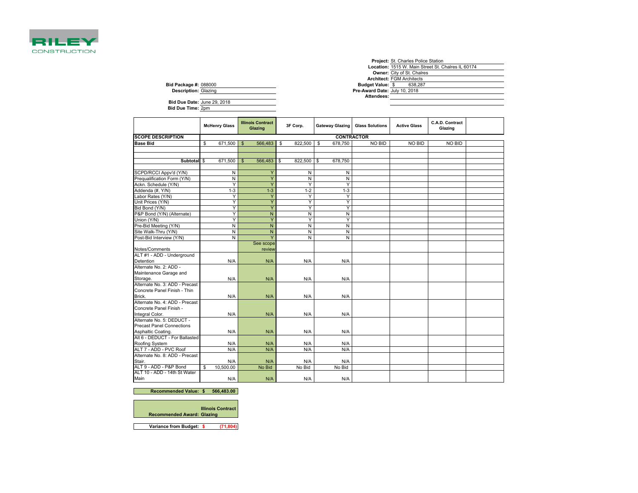

|                                  |    |                      |              |                          |                                    |    |                        |                               | <b>Project: St. Charles Police Station</b> |                                                    |  |  |  |
|----------------------------------|----|----------------------|--------------|--------------------------|------------------------------------|----|------------------------|-------------------------------|--------------------------------------------|----------------------------------------------------|--|--|--|
|                                  |    |                      |              |                          |                                    |    |                        |                               |                                            | Location: 1515 W. Main Street St. Chalres IL 60174 |  |  |  |
|                                  |    |                      |              |                          |                                    |    |                        |                               | Owner: City of St. Chalres                 |                                                    |  |  |  |
|                                  |    |                      |              |                          |                                    |    |                        |                               | <b>Architect: FGM Architects</b>           |                                                    |  |  |  |
| <b>Bid Package #: 088000</b>     |    |                      |              |                          | <b>Budget Value: \$</b><br>638,287 |    |                        |                               |                                            |                                                    |  |  |  |
| <b>Description: Glazing</b>      |    |                      |              |                          |                                    |    |                        | Pre-Award Date: July 10, 2018 |                                            |                                                    |  |  |  |
|                                  |    |                      |              |                          |                                    |    |                        | Attendees:                    |                                            |                                                    |  |  |  |
| Bid Due Date: June 29, 2018      |    |                      |              |                          |                                    |    |                        |                               |                                            |                                                    |  |  |  |
| Bid Due Time: 2pm                |    |                      |              |                          |                                    |    |                        |                               |                                            |                                                    |  |  |  |
|                                  |    |                      |              |                          |                                    |    |                        |                               |                                            |                                                    |  |  |  |
|                                  |    |                      |              | <b>Illinois Contract</b> |                                    |    |                        |                               |                                            | C.A.D. Contract                                    |  |  |  |
|                                  |    | <b>McHenry Glass</b> |              | Glazing                  | 3F Corp.                           |    | <b>Gateway Glazing</b> | <b>Glass Solutions</b>        | <b>Active Glass</b>                        | Glazing                                            |  |  |  |
|                                  |    |                      |              |                          |                                    |    |                        |                               |                                            |                                                    |  |  |  |
| <b>SCOPE DESCRIPTION</b>         |    |                      |              |                          |                                    |    |                        | <b>CONTRACTOR</b>             |                                            |                                                    |  |  |  |
| <b>Base Bid</b>                  | \$ | 671,500              | $\mathsf{s}$ | 566,483                  | \$<br>822,500                      | \$ | 678,750                | NO BID                        | NO BID                                     | NO BID                                             |  |  |  |
|                                  |    |                      |              |                          |                                    |    |                        |                               |                                            |                                                    |  |  |  |
|                                  |    |                      |              |                          |                                    |    |                        |                               |                                            |                                                    |  |  |  |
| Subtotal \$                      |    | 671,500              | $\mathbb{S}$ | 566,483                  | \$<br>822,500                      | \$ | 678,750                |                               |                                            |                                                    |  |  |  |
|                                  |    |                      |              |                          |                                    |    |                        |                               |                                            |                                                    |  |  |  |
| SCPD/RCCI Appv'd (Y/N)           |    | N                    |              | Y                        | Ν                                  |    | Ν                      |                               |                                            |                                                    |  |  |  |
| Prequalification Form (Y/N)      |    | N                    |              | Ÿ                        | N                                  |    | N                      |                               |                                            |                                                    |  |  |  |
| Ackn. Schedule (Y/N)             |    | Ϋ                    |              | Ÿ                        | Y                                  |    | Y                      |                               |                                            |                                                    |  |  |  |
| Addenda (#, Y/N)                 |    | $1 - 3$              |              | $1 - 3$                  | $1 - 2$                            |    | $1 - 3$                |                               |                                            |                                                    |  |  |  |
| Labor Rates (Y/N)                |    | Υ                    |              | Y                        | Y                                  |    | Y                      |                               |                                            |                                                    |  |  |  |
| Unit Prices (Y/N)                |    | Ÿ                    |              | Ÿ                        | Ÿ                                  |    | Ÿ                      |                               |                                            |                                                    |  |  |  |
| Bid Bond (Y/N)                   |    | Υ                    |              | Ÿ                        | Ϋ                                  |    | Υ                      |                               |                                            |                                                    |  |  |  |
| P&P Bond (Y/N) (Alternate)       |    | Υ                    |              | $\overline{N}$           | N                                  |    | N                      |                               |                                            |                                                    |  |  |  |
| Union (Y/N)                      |    | Υ                    |              | Ÿ                        | Υ                                  |    | Y                      |                               |                                            |                                                    |  |  |  |
| Pre-Bid Meeting (Y/N)            |    | N                    |              | $\overline{N}$           | Ñ                                  |    | N                      |                               |                                            |                                                    |  |  |  |
| Site Walk-Thru (Y/N)             |    | $\overline{N}$       |              | $\overline{N}$           | N                                  |    | N                      |                               |                                            |                                                    |  |  |  |
| Post-Bid Interview (Y/N)         |    | N                    |              | Ÿ                        | N                                  |    | N                      |                               |                                            |                                                    |  |  |  |
|                                  |    |                      |              | See scope                |                                    |    |                        |                               |                                            |                                                    |  |  |  |
| Notes/Comments                   |    |                      |              | review                   |                                    |    |                        |                               |                                            |                                                    |  |  |  |
| ALT #1 - ADD - Underground       |    |                      |              |                          |                                    |    |                        |                               |                                            |                                                    |  |  |  |
| Detention                        |    | N/A                  |              | N/A                      | N/A                                |    | N/A                    |                               |                                            |                                                    |  |  |  |
| Alternate No. 2: ADD -           |    |                      |              |                          |                                    |    |                        |                               |                                            |                                                    |  |  |  |
| Maintenance Garage and           |    |                      |              |                          |                                    |    |                        |                               |                                            |                                                    |  |  |  |
| Storage.                         |    | N/A                  |              | N/A                      | N/A                                |    | N/A                    |                               |                                            |                                                    |  |  |  |
| Alternate No. 3: ADD - Precast   |    |                      |              |                          |                                    |    |                        |                               |                                            |                                                    |  |  |  |
| Concrete Panel Finish - Thin     |    |                      |              |                          |                                    |    |                        |                               |                                            |                                                    |  |  |  |
| Brick.                           |    | N/A                  |              | N/A                      | N/A                                |    | N/A                    |                               |                                            |                                                    |  |  |  |
| Alternate No. 4: ADD - Precast   |    |                      |              |                          |                                    |    |                        |                               |                                            |                                                    |  |  |  |
| Concrete Panel Finish -          |    |                      |              |                          |                                    |    |                        |                               |                                            |                                                    |  |  |  |
| Integral Color.                  |    | N/A                  |              | N/A                      | N/A                                |    | N/A                    |                               |                                            |                                                    |  |  |  |
| Alternate No. 5: DEDUCT -        |    |                      |              |                          |                                    |    |                        |                               |                                            |                                                    |  |  |  |
| <b>Precast Panel Connections</b> |    |                      |              |                          |                                    |    |                        |                               |                                            |                                                    |  |  |  |
| Asphaltic Coating.               |    | N/A                  |              | N/A                      | N/A                                |    | N/A                    |                               |                                            |                                                    |  |  |  |
| Alt 6 - DEDUCT - For Ballasted   |    |                      |              |                          |                                    |    |                        |                               |                                            |                                                    |  |  |  |
| Roofing System                   |    | N/A                  |              | N/A                      | N/A                                |    | N/A                    |                               |                                            |                                                    |  |  |  |
| ALT 7 - ADD - PVC Roof           |    | N/A                  |              | N/A                      | N/A                                |    | N/A                    |                               |                                            |                                                    |  |  |  |
| Alternate No. 8: ADD - Precast   |    |                      |              |                          |                                    |    |                        |                               |                                            |                                                    |  |  |  |
| Stair.                           |    | N/A                  |              | N/A                      | N/A                                |    | N/A                    |                               |                                            |                                                    |  |  |  |
| ALT 9 - ADD - P&P Bond           | \$ | 10,500.00            |              | No Bid                   | No Bid                             |    | No Bid                 |                               |                                            |                                                    |  |  |  |
| ALT 10 - ADD - 14th St Water     |    |                      |              |                          |                                    |    |                        |                               |                                            |                                                    |  |  |  |
| Main                             |    | N/A                  |              | N/A                      | N/A                                |    | N/A                    |                               |                                            |                                                    |  |  |  |

#### **Recommended Value:**  $$ 566,483.00$

|                                   | <b>Illinois Contract</b> |
|-----------------------------------|--------------------------|
| <b>Recommended Award: Glazing</b> |                          |
|                                   |                          |
| Varianan fram Dudantu             | 1740041                  |

**Variance from Budget: \$ (71,804)**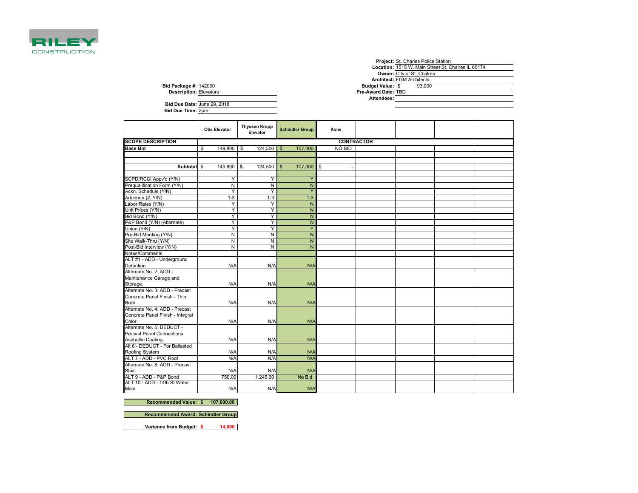

|                               | <b>Project:</b> St. Charles Police Station         |
|-------------------------------|----------------------------------------------------|
|                               | Location: 1515 W. Main Street St. Chalres IL 60174 |
|                               | <b>Owner:</b> City of St. Chalres                  |
|                               | <b>Architect: FGM Architects</b>                   |
| <b>Bid Package #: 142000</b>  | <b>Budget Value: \$</b><br>93.000                  |
| <b>Description: Elevators</b> | Pre-Award Date: TBD                                |
|                               | Attendees:                                         |
| Bid Due Date: June 29, 2018   |                                                    |
| <b>Bid Due Time: 2pm</b>      |                                                    |

|                                  | <b>Otis Elevator</b> | <b>Thyssen Krupp</b><br>Elevator | <b>Schindler Group</b>   | Kone          |  |  |  |  |  |  |
|----------------------------------|----------------------|----------------------------------|--------------------------|---------------|--|--|--|--|--|--|
| <b>SCOPE DESCRIPTION</b>         | <b>CONTRACTOR</b>    |                                  |                          |               |  |  |  |  |  |  |
| <b>Base Bid</b>                  | 149,800<br>\$        | 124,500<br><b>S</b>              | 107,000<br>$\sqrt[6]{3}$ | <b>NO BID</b> |  |  |  |  |  |  |
|                                  |                      |                                  |                          |               |  |  |  |  |  |  |
|                                  |                      |                                  |                          |               |  |  |  |  |  |  |
| Subtotal \$                      | 149,800              | l \$<br>124,500                  | \$<br>107,000            | \$            |  |  |  |  |  |  |
|                                  |                      |                                  |                          |               |  |  |  |  |  |  |
| SCPD/RCCI Appv'd (Y/N)           | Y                    | Y                                | Y                        |               |  |  |  |  |  |  |
| Prequalification Form (Y/N)      | $\overline{N}$       | N                                | $\mathsf{N}$             |               |  |  |  |  |  |  |
| Ackn. Schedule (Y/N)             | Y                    | Y                                | Y                        |               |  |  |  |  |  |  |
| Addenda (#, Y/N)                 | $1 - 3$              | $1 - 3$                          | $1-3$                    |               |  |  |  |  |  |  |
| Labor Rates (Y/N)                | Y                    | Y                                | N                        |               |  |  |  |  |  |  |
| Unit Prices (Y/N)                | Y                    | Y                                | N                        |               |  |  |  |  |  |  |
| Bid Bond (Y/N)                   | Y                    | Y                                | N                        |               |  |  |  |  |  |  |
| P&P Bond (Y/N) (Alternate)       | Y                    | Ÿ                                | N                        |               |  |  |  |  |  |  |
| Union (Y/N)                      | Y                    | Y                                | Ÿ                        |               |  |  |  |  |  |  |
| Pre-Bid Meeting (Y/N)            | N                    | N                                | N                        |               |  |  |  |  |  |  |
| Site Walk-Thru (Y/N)             | N                    | N                                | $\overline{N}$           |               |  |  |  |  |  |  |
| Post-Bid Interview (Y/N)         | $\overline{N}$       | N                                | N                        |               |  |  |  |  |  |  |
| Notes/Comments                   |                      |                                  |                          |               |  |  |  |  |  |  |
| ALT #1 - ADD - Underground       |                      |                                  |                          |               |  |  |  |  |  |  |
| Detention                        | N/A                  | N/A                              | N/A                      |               |  |  |  |  |  |  |
| Alternate No. 2: ADD -           |                      |                                  |                          |               |  |  |  |  |  |  |
| Maintenance Garage and           |                      |                                  |                          |               |  |  |  |  |  |  |
| Storage.                         | N/A                  | N/A                              | N/A                      |               |  |  |  |  |  |  |
| Alternate No. 3: ADD - Precast   |                      |                                  |                          |               |  |  |  |  |  |  |
| Concrete Panel Finish - Thin     |                      |                                  |                          |               |  |  |  |  |  |  |
| Brick.                           | N/A                  | N/A                              | N/A                      |               |  |  |  |  |  |  |
| Alternate No. 4: ADD - Precast   |                      |                                  |                          |               |  |  |  |  |  |  |
| Concrete Panel Finish - Integral |                      |                                  |                          |               |  |  |  |  |  |  |
| Color.                           | N/A                  | N/A                              | N/A                      |               |  |  |  |  |  |  |
| Alternate No. 5: DEDUCT -        |                      |                                  |                          |               |  |  |  |  |  |  |
| <b>Precast Panel Connections</b> |                      |                                  |                          |               |  |  |  |  |  |  |
| Asphaltic Coating.               | N/A                  | N/A                              | N/A                      |               |  |  |  |  |  |  |
| Alt 6 - DEDUCT - For Ballasted   |                      |                                  |                          |               |  |  |  |  |  |  |
| Roofing System                   | N/A                  | N/A                              | N/A                      |               |  |  |  |  |  |  |
| ALT 7 - ADD - PVC Roof           | N/A                  | N/A                              | N/A                      |               |  |  |  |  |  |  |
| Alternate No. 8: ADD - Precast   |                      |                                  |                          |               |  |  |  |  |  |  |
| Stair.                           | N/A                  | N/A                              | N/A                      |               |  |  |  |  |  |  |
| ALT 9 - ADD - P&P Bond           | 750.00               | 1.245.00                         | No Bid                   |               |  |  |  |  |  |  |
| ALT 10 - ADD - 14th St Water     |                      |                                  |                          |               |  |  |  |  |  |  |
| Main                             | N/A                  | N/A                              | N/A                      |               |  |  |  |  |  |  |

**Recommended Value: 107,000.00 \$** 

**Recommended Award: Schindler Group**

**Bid Due Date: Bid Due Time:**

**Variance from Budget: \$ 14,000**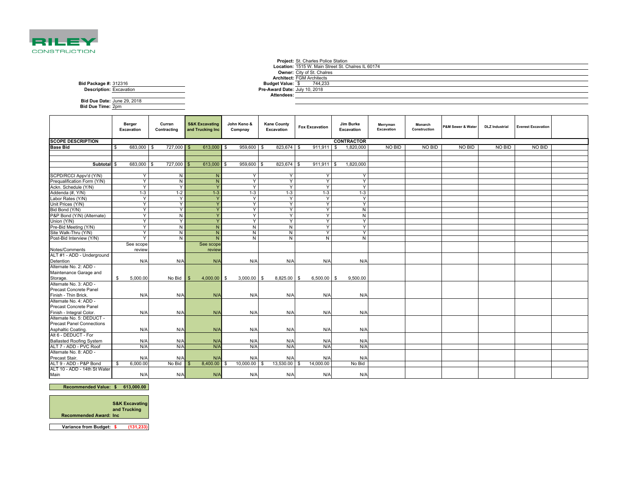

## **Project:** St. Charles Police Station **Location:** 1515 W. Main Street St. Chalres IL 60174**Owner: City of St. Chalres<br><b>Architect:** FGM Architects<br>**get Value: \$** 744,233 **Pre-Award Date:** July 10, 2018**Attendees:**

**Bid Package #: Budget Value:Description:**312316 Excavation

| Bid Due Date: June 29, 2018 |  |
|-----------------------------|--|
| Bid Due Time: 2pm           |  |

|                                    | Berger<br>Excavation | Curran<br>Contracting | <b>S&amp;K Excavating</b><br>and Trucking Inc | John Keno &<br>Compnay | <b>Kane County</b><br>Excavation | <b>Fox Excavation</b> | Jim Burke<br>Excavation | Merryman<br>Excavation | Monarch<br>Construction | P&M Sewer & Water | <b>DLZ</b> Industrial | <b>Everest Excavation</b> |  |
|------------------------------------|----------------------|-----------------------|-----------------------------------------------|------------------------|----------------------------------|-----------------------|-------------------------|------------------------|-------------------------|-------------------|-----------------------|---------------------------|--|
| <b>SCOPE DESCRIPTION</b>           |                      |                       |                                               |                        |                                  |                       | <b>CONTRACTOR</b>       |                        |                         |                   |                       |                           |  |
| <b>Base Bid</b>                    | 683,000 \$<br>£.     | 727,000 \$            | 613,000 \$                                    | 959,600 \$             | 823,674 \$                       | 911.911 \$            | 1,820,000               | <b>NO BID</b>          | NO BID                  | <b>NO BID</b>     | <b>NO BID</b>         | NO BID                    |  |
|                                    |                      |                       |                                               |                        |                                  |                       |                         |                        |                         |                   |                       |                           |  |
|                                    |                      |                       |                                               |                        |                                  |                       |                         |                        |                         |                   |                       |                           |  |
| Subtotal \$                        | 683,000 \$           | 727,000 \$            | 613,000                                       | 959,600                | 823,674<br>\$                    | $911,911$ \$          | 1,820,000               |                        |                         |                   |                       |                           |  |
|                                    |                      |                       |                                               |                        |                                  |                       |                         |                        |                         |                   |                       |                           |  |
| SCPD/RCCI Appv'd (Y/N)             | Y                    | N                     | N                                             | Y                      | Y                                | Y                     | Y                       |                        |                         |                   |                       |                           |  |
| Prequalification Form (Y/N)        | Y                    | N                     | N                                             | Y                      | Y                                | Y                     | Y                       |                        |                         |                   |                       |                           |  |
| Ackn. Schedule (Y/N)               | Y                    | Y                     | Y                                             | Y                      | Y                                | Y                     | Y                       |                        |                         |                   |                       |                           |  |
| Addenda (#, Y/N)                   | $1 - 3$              | $1 - 2$               | $1 - 3$                                       | $1 - 3$                | $1 - 3$                          | $1-3$                 | $1 - 3$                 |                        |                         |                   |                       |                           |  |
| Labor Rates (Y/N)                  | Y                    | Y                     | Y                                             | Y                      | Y                                | Y                     | Y                       |                        |                         |                   |                       |                           |  |
| Unit Prices (Y/N)                  | Y                    | Y                     | Y                                             | Y                      | Y                                | Y                     | Y                       |                        |                         |                   |                       |                           |  |
| Bid Bond (Y/N)                     | Y                    | Y                     | Y                                             | Y                      | Y                                | Y                     | N                       |                        |                         |                   |                       |                           |  |
| P&P Bond (Y/N) (Alternate)         | Y                    | N                     | Y                                             | Y                      | Y                                | Y                     | N                       |                        |                         |                   |                       |                           |  |
| Union (Y/N)                        | Y                    | Y                     | Y                                             | Y                      | Y                                | Y                     | Y                       |                        |                         |                   |                       |                           |  |
| Pre-Bid Meeting (Y/N)              | Y                    | N                     | N                                             | N                      | N                                | Y                     | Y                       |                        |                         |                   |                       |                           |  |
| Site Walk-Thru (Y/N)               | Y                    | N                     | N <sub>1</sub>                                | N                      | N                                | Y                     | Y                       |                        |                         |                   |                       |                           |  |
| Post-Bid Interview (Y/N)           | Y                    | N                     | N                                             | N                      | N                                | N                     | N                       |                        |                         |                   |                       |                           |  |
|                                    | See scope            |                       | See scope                                     |                        |                                  |                       |                         |                        |                         |                   |                       |                           |  |
| Notes/Comments                     | review               |                       | review                                        |                        |                                  |                       |                         |                        |                         |                   |                       |                           |  |
| ALT #1 - ADD - Underground         |                      |                       |                                               |                        |                                  |                       |                         |                        |                         |                   |                       |                           |  |
| Detention                          | N/A                  | N/A                   | N/A                                           | N/A                    | N/A                              | N/A                   | N/A                     |                        |                         |                   |                       |                           |  |
| Alternate No. 2: ADD -             |                      |                       |                                               |                        |                                  |                       |                         |                        |                         |                   |                       |                           |  |
| Maintenance Garage and             |                      |                       |                                               |                        |                                  |                       |                         |                        |                         |                   |                       |                           |  |
| Storage.<br>Alternate No. 3: ADD - | \$<br>5,000.00       | No Bid                | $4,000.00$ \$                                 | 3,000.00               | 8,825.00<br>\$                   | 6,500.00<br>- \$      | 9,500.00<br>- \$        |                        |                         |                   |                       |                           |  |
|                                    |                      |                       |                                               |                        |                                  |                       |                         |                        |                         |                   |                       |                           |  |
| Precast Concrete Panel             |                      |                       |                                               |                        |                                  |                       |                         |                        |                         |                   |                       |                           |  |
| Finish - Thin Brick.               | N/A                  | N/A                   | N/A                                           | N/A                    | N/A                              | N/A                   | N/A                     |                        |                         |                   |                       |                           |  |
| Alternate No. 4: ADD -             |                      |                       |                                               |                        |                                  |                       |                         |                        |                         |                   |                       |                           |  |
| Precast Concrete Panel             |                      |                       |                                               |                        |                                  |                       |                         |                        |                         |                   |                       |                           |  |
| Finish - Integral Color.           | N/A                  | N/A                   | N/A                                           | N/A                    | N/A                              | N/A                   | N/A                     |                        |                         |                   |                       |                           |  |
| Alternate No. 5: DEDUCT -          |                      |                       |                                               |                        |                                  |                       |                         |                        |                         |                   |                       |                           |  |
| <b>Precast Panel Connections</b>   |                      |                       |                                               |                        |                                  |                       |                         |                        |                         |                   |                       |                           |  |
| Asphaltic Coating.                 | N/A                  | N/A                   | N/A                                           | N/A                    | N/A                              | N/A                   | N/A                     |                        |                         |                   |                       |                           |  |
| Alt 6 - DEDUCT - For               |                      |                       |                                               |                        |                                  |                       |                         |                        |                         |                   |                       |                           |  |
| <b>Ballasted Roofing System</b>    | N/A                  | N/A                   | N/A                                           | N/A                    | N/A                              | N/A                   | N/A                     |                        |                         |                   |                       |                           |  |
| ALT 7 - ADD - PVC Roof             | N/A                  | N/A                   | N/A                                           | N/A                    | N/A                              | N/A                   | N/A                     |                        |                         |                   |                       |                           |  |
| Alternate No. 8: ADD -             |                      |                       |                                               |                        |                                  |                       |                         |                        |                         |                   |                       |                           |  |
| Precast Stair.                     | N/A                  | N/A                   | N/A                                           | N/A                    | N/A                              | N/A                   | N/A                     |                        |                         |                   |                       |                           |  |
| ALT 9 - ADD - P&P Bond             | 6.000.00<br>- \$     | No Bid                | 8,400.00                                      | 10,000.00              | 13,530.00                        | 14,000.00             | No Bid                  |                        |                         |                   |                       |                           |  |
| ALT 10 - ADD - 14th St Water       |                      |                       |                                               |                        |                                  |                       |                         |                        |                         |                   |                       |                           |  |
| Main                               | N/A                  | N/A                   | N/A                                           | N/A                    | N/A                              | N/A                   | N/A                     |                        |                         |                   |                       |                           |  |

#### **Recommended Value: 613,000.00 \$**



**Variance from Budget: \$ (131,233)**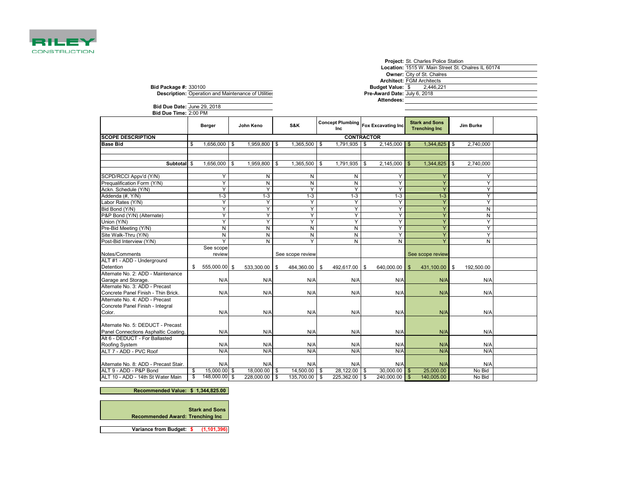

|                          | Project: St. Charles Police Station                |
|--------------------------|----------------------------------------------------|
|                          | Location: 1515 W. Main Street St. Chalres IL 60174 |
|                          | <b>Owner: City of St. Chalres</b>                  |
|                          | <b>Architect: FGM Architects</b>                   |
|                          | udget Value: \$2,446,221                           |
| Award Date: July 6, 2018 |                                                    |
|                          |                                                    |

**Bid Package #: Budget Value:Description: Pre-Award Date:** July 6, 2018330100 Operation and Maintenance of Utilities

**Attendees:**

| Bid Due Time: 2:00 PM<br><b>Stark and Sons</b><br>Concept Plumbing   Fox Excavating Inc<br>S&K<br>John Keno<br>Jim Burke<br>Berger<br><b>Trenching Inc</b><br>Inc<br><b>SCOPE DESCRIPTION</b><br><b>CONTRACTOR</b><br>$1,365,500$ \ \$<br>$1,791,935$ \$<br>$2.145.000$ \$<br>1,344,825<br>2,740,000<br><b>Base Bid</b><br>$1,656,000$ \$<br>$1,959,800$ \$<br>\$<br>\$ |  |
|-------------------------------------------------------------------------------------------------------------------------------------------------------------------------------------------------------------------------------------------------------------------------------------------------------------------------------------------------------------------------|--|
|                                                                                                                                                                                                                                                                                                                                                                         |  |
|                                                                                                                                                                                                                                                                                                                                                                         |  |
|                                                                                                                                                                                                                                                                                                                                                                         |  |
|                                                                                                                                                                                                                                                                                                                                                                         |  |
|                                                                                                                                                                                                                                                                                                                                                                         |  |
|                                                                                                                                                                                                                                                                                                                                                                         |  |
| 1.656.000<br>1,959,800<br>1,365,500<br>1,791,935<br>2,145,000<br>1,344,825<br>2,740,000<br>Subtotal<br>\$<br>\$<br>\$<br>\$<br>\$<br>\$                                                                                                                                                                                                                                 |  |
|                                                                                                                                                                                                                                                                                                                                                                         |  |
| SCPD/RCCI Appv'd (Y/N)<br>N<br>N<br>Y<br>N<br>Υ<br>Υ                                                                                                                                                                                                                                                                                                                    |  |
| Y<br>$\overline{N}$<br>Y<br>$\overline{N}$<br>$\overline{N}$<br>$\overline{Y}$<br>Y<br>Prequalification Form (Y/N)                                                                                                                                                                                                                                                      |  |
| Y<br>Y<br>Y<br>Y<br>Υ<br>Y<br>Y<br>Ackn. Schedule (Y/N)                                                                                                                                                                                                                                                                                                                 |  |
| Addenda (#, Y/N)<br>$1 - 3$<br>$1 - 3$<br>$1 - 3$<br>$1 - 3$<br>Y<br>$1 - 3$<br>$1 - 3$                                                                                                                                                                                                                                                                                 |  |
| _abor Rates (Y/N)<br>Y<br>Y<br>Y<br>Υ<br>Υ<br>Y<br>Y                                                                                                                                                                                                                                                                                                                    |  |
| Y<br>Y<br>Y<br>Y<br>Y<br>Y<br>N<br>Bid Bond (Y/N)                                                                                                                                                                                                                                                                                                                       |  |
| Y<br>Y<br>P&P Bond (Y/N) (Alternate)<br>Y<br>Y<br>Y<br>Ÿ<br>N                                                                                                                                                                                                                                                                                                           |  |
| Y<br>Y<br>Y<br>Υ<br>Ÿ<br>Y<br>Union (Y/N)<br>Y                                                                                                                                                                                                                                                                                                                          |  |
| Pre-Bid Meeting (Y/N)<br>$\overline{N}$<br>N<br>N<br>N<br>Y<br>Y<br>Y                                                                                                                                                                                                                                                                                                   |  |
| $\overline{N}$<br>N<br>Y<br>Site Walk-Thru (Y/N)<br>N<br>N<br>Y<br>Ÿ                                                                                                                                                                                                                                                                                                    |  |
| $\overline{Y}$<br>Y<br>N<br>N<br>N<br>Y<br>Post-Bid Interview (Y/N)<br>N                                                                                                                                                                                                                                                                                                |  |
| See scope                                                                                                                                                                                                                                                                                                                                                               |  |
| See scope review<br>Notes/Comments<br>review<br>See scope review                                                                                                                                                                                                                                                                                                        |  |
| ALT #1 - ADD - Underground                                                                                                                                                                                                                                                                                                                                              |  |
| Detention<br>\$<br>555,000.00 \$<br>533,300.00 \$<br>484,360.00<br>492,617.00<br><b>S</b><br>640,000.00<br>431,100.00<br>192,500.00<br>\$<br>\$<br>\$                                                                                                                                                                                                                   |  |
| Alternate No. 2: ADD - Maintenance                                                                                                                                                                                                                                                                                                                                      |  |
| Garage and Storage.<br>N/A<br>N/A<br>N/A<br>N/A<br>N/A<br>N/A<br>N/A                                                                                                                                                                                                                                                                                                    |  |
| Alternate No. 3: ADD - Precast                                                                                                                                                                                                                                                                                                                                          |  |
| Concrete Panel Finish - Thin Brick.<br>N/A<br>N/A<br>N/A<br>N/A<br>N/A<br>N/A<br>N/A                                                                                                                                                                                                                                                                                    |  |
| Alternate No. 4: ADD - Precast                                                                                                                                                                                                                                                                                                                                          |  |
| Concrete Panel Finish - Integral                                                                                                                                                                                                                                                                                                                                        |  |
| N/A<br>N/A<br>N/A<br>Color.<br>N/A<br>N/A<br>N/A<br>N/A                                                                                                                                                                                                                                                                                                                 |  |
|                                                                                                                                                                                                                                                                                                                                                                         |  |
| Alternate No. 5: DEDUCT - Precast                                                                                                                                                                                                                                                                                                                                       |  |
| Panel Connections Asphaltic Coating.<br>N/A<br>N/A<br>N/A<br>N/A<br>N/A<br>N/A<br>N/A                                                                                                                                                                                                                                                                                   |  |
| Alt 6 - DEDUCT - For Ballasted                                                                                                                                                                                                                                                                                                                                          |  |
| Roofing System<br>N/A<br>N/A<br>N/A<br>N/A<br>N/A<br>N/A<br>N/A                                                                                                                                                                                                                                                                                                         |  |
| ALT 7 - ADD - PVC Roof<br>N/A<br>N/A<br>N/A<br>N/A<br>N/A<br>N/A<br>N/A                                                                                                                                                                                                                                                                                                 |  |
| Alternate No. 8: ADD - Precast Stair.<br>N/A<br>N/A<br>N/A<br>N/A<br>N/A<br>N/A<br>N/A                                                                                                                                                                                                                                                                                  |  |
| 15,000.00 \$<br>14,500.00<br>No Bid<br>ALT 9 - ADD - P&P Bond<br>\$<br>18,000.00<br>28.122.00<br>30.000.00<br>25,000.00<br>\$<br>\$<br>- \$                                                                                                                                                                                                                             |  |
| 148,000.00 \$<br>\$<br>ALT 10 - ADD - 14th St Water Main<br>228,000.00 \$<br>135,700.00<br>225,362.00<br>240,000.00<br>140,005.00<br>No Bid<br><b>S</b><br><b>S</b><br>$\mathbf{s}$                                                                                                                                                                                     |  |

**Recommended Value: \$ 1,344,825.00** 

**Recommended Award: Stark and Sons Trenching Inc** 

**Variance from Budget: \$ (1,101,396)**